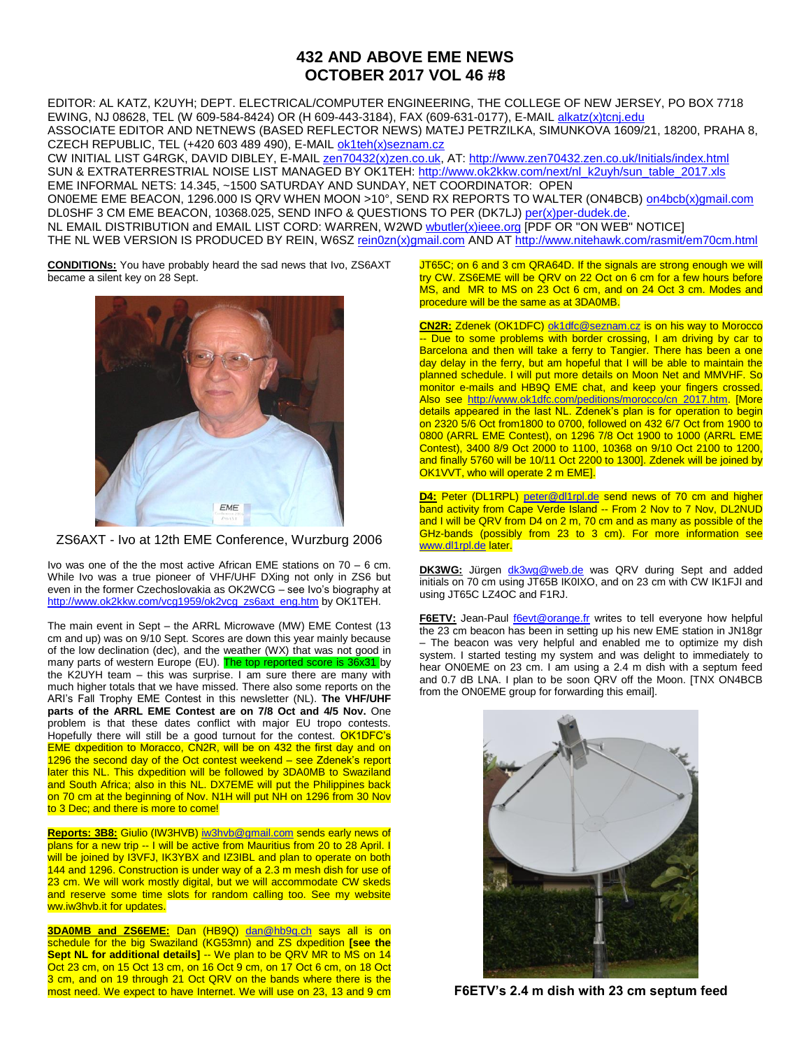## **432 AND ABOVE EME NEWS OCTOBER 2017 VOL 46 #8**

EDITOR: AL KATZ, K2UYH; DEPT. ELECTRICAL/COMPUTER ENGINEERING, THE COLLEGE OF NEW JERSEY, PO BOX 7718 EWING, NJ 08628, TEL (W 609-584-8424) OR (H 609-443-3184), FAX (609-631-0177), E-MAIL [alkatz\(x\)tcnj.edu](mailto:alkatz@tcnj.edu) ASSOCIATE EDITOR AND NETNEWS (BASED REFLECTOR NEWS) MATEJ PETRZILKA, SIMUNKOVA 1609/21, 18200, PRAHA 8, CZECH REPUBLIC, TEL (+420 603 489 490), E-MAIL [ok1teh\(x\)seznam.cz](mailto:ok1teh@seznam.cz)

CW INITIAL LIST G4RGK, DAVID DIBLEY, E-MAIL [zen70432\(x\)zen.co.uk,](mailto:zen70432@zen.co.uk) AT:<http://www.zen70432.zen.co.uk/Initials/index.html> SUN & EXTRATERRESTRIAL NOISE LIST MANAGED BY OK1TEH: [http://www.ok2kkw.com/next/nl\\_k2uyh/sun\\_table\\_2017.xls](http://www.ok2kkw.com/next/nl_k2uyh/sun_table_2017.xls) EME INFORMAL NETS: 14.345, ~1500 SATURDAY AND SUNDAY, NET COORDINATOR: OPEN ON0EME EME BEACON, 1296.000 IS QRV WHEN MOON >10°, SEND RX REPORTS TO WALTER (ON4BCB) [on4bcb\(x\)gmail.com](mailto:on4bcb@gmail.com)  DL0SHF 3 CM EME BEACON, 10368.025, SEND INFO & QUESTIONS TO PER (DK7LJ[\) per\(x\)per-dudek.de.](mailto:per@per-dudek.de) NL EMAIL DISTRIBUTION and EMAIL LIST CORD: WARREN, W2WD **wbutler(x)ieee.org** [PDF OR "ON WEB" NOTICE] THE NL WEB VERSION IS PRODUCED BY REIN, W6SZ [rein0zn\(x\)gmail.com](mailto:rein0zn@gmail.com) AND AT<http://www.nitehawk.com/rasmit/em70cm.html>

**CONDITIONs:** You have probably heard the sad news that Ivo, ZS6AXT became a silent key on 28 Sept.



ZS6AXT - Ivo at 12th EME Conference, Wurzburg 2006

Ivo was one of the the most active African EME stations on 70 – 6 cm. While Ivo was a true pioneer of VHF/UHF DXing not only in ZS6 but even in the former Czechoslovakia as OK2WCG – see Ivo's biography at [http://www.ok2kkw.com/vcg1959/ok2vcg\\_zs6axt\\_eng.htm](http://www.ok2kkw.com/vcg1959/ok2vcg_zs6axt_eng.htm) by OK1TEH.

The main event in Sept – the ARRL Microwave (MW) EME Contest (13 cm and up) was on 9/10 Sept. Scores are down this year mainly because of the low declination (dec), and the weather (WX) that was not good in many parts of western Europe (EU). The top reported score is 36x31 by the K2UYH team – this was surprise. I am sure there are many with much higher totals that we have missed. There also some reports on the ARI's Fall Trophy EME Contest in this newsletter (NL). **The VHF/UHF parts of the ARRL EME Contest are on 7/8 Oct and 4/5 Nov.** One problem is that these dates conflict with major EU tropo contests. Hopefully there will still be a good turnout for the contest. OK1DFC's EME dxpedition to Moracco, CN2R, will be on 432 the first day and on 1296 the second day of the Oct contest weekend – see Zdenek's report later this NL. This dxpedition will be followed by 3DA0MB to Swaziland and South Africa; also in this NL. DX7EME will put the Philippines back on 70 cm at the beginning of Nov. N1H will put NH on 1296 from 30 Nov to 3 Dec; and there is more to come!

**Reports: 3B8:** Giulio (IW3HVB) [iw3hvb@gmail.com](mailto:iw3hvb@gmail.com) sends early news of plans for a new trip -- I will be active from Mauritius from 20 to 28 April. I will be joined by I3VFJ, IK3YBX and IZ3IBL and plan to operate on both 144 and 1296. Construction is under way of a 2.3 m mesh dish for use of 23 cm. We will work mostly digital, but we will accommodate CW skeds and reserve some time slots for random calling too. See my website ww.iw3hvb.it for updates.

**3DA0MB and ZS6EME:** Dan (HB9Q) [dan@hb9q.ch](mailto:dan@hb9q.ch) says all is on schedule for the big Swaziland (KG53mn) and ZS dxpedition **[see the Sept NL for additional details]** -- We plan to be QRV MR to MS on 14 Oct 23 cm, on 15 Oct 13 cm, on 16 Oct 9 cm, on 17 Oct 6 cm, on 18 Oct 3 cm, and on 19 through 21 Oct QRV on the bands where there is the most need. We expect to have Internet. We will use on 23, 13 and 9 cm

JT65C; on 6 and 3 cm QRA64D. If the signals are strong enough we will try CW. ZS6EME will be QRV on 22 Oct on 6 cm for a few hours before MS, and MR to MS on 23 Oct 6 cm, and on 24 Oct 3 cm. Modes and procedure will be the same as at 3DA0MB.

**CN2R:** Zdenek (OK1DFC[\) ok1dfc@seznam.cz](mailto:ok1dfc@seznam.cz) is on his way to Morocco -- Due to some problems with border crossing, I am driving by car to Barcelona and then will take a ferry to Tangier. There has been a one day delay in the ferry, but am hopeful that I will be able to maintain the planned schedule. I will put more details on Moon Net and MMVHF. So monitor e-mails and HB9Q EME chat, and keep your fingers crossed. Also see [http://www.ok1dfc.com/peditions/morocco/cn\\_2017.htm.](http://www.ok1dfc.com/peditions/morocco/cn_2017.htm) [More details appeared in the last NL. Zdenek's plan is for operation to begin on 2320 5/6 Oct from1800 to 0700, followed on 432 6/7 Oct from 1900 to 0800 (ARRL EME Contest), on 1296 7/8 Oct 1900 to 1000 (ARRL EME Contest), 3400 8/9 Oct 2000 to 1100, 10368 on 9/10 Oct 2100 to 1200, and finally 5760 will be 10/11 Oct 2200 to 1300]. Zdenek will be joined by OK1VVT, who will operate 2 m EME].

**D4:** Peter (DL1RPL) [peter@dl1rpl.de](mailto:peter@dl1rpl.de) send news of 70 cm and higher band activity from Cape Verde Island -- From 2 Nov to 7 Nov, DL2NUD and I will be QRV from D4 on 2 m, 70 cm and as many as possible of the GHz-bands (possibly from 23 to 3 cm). For more information see [www.dl1rpl.de](http://www.dl1rpl.de/) later.

DK3WG: Jürgen [dk3wg@web.de](mailto:dk3wg@web.de) was QRV during Sept and added initials on 70 cm using JT65B IK0IXO, and on 23 cm with CW IK1FJI and using JT65C LZ4OC and F1RJ.

F6ETV: Jean-Paul **follow For allack or angle for the Universe Test** of tell everyone how helpful the 23 cm beacon has been in setting up his new EME station in JN18gr – The beacon was very helpful and enabled me to optimize my dish system. I started testing my system and was delight to immediately to hear ON0EME on 23 cm. I am using a 2.4 m dish with a septum feed and 0.7 dB LNA. I plan to be soon QRV off the Moon. [TNX ON4BCB from the ON0EME group for forwarding this email].



**F6ETV's 2.4 m dish with 23 cm septum feed**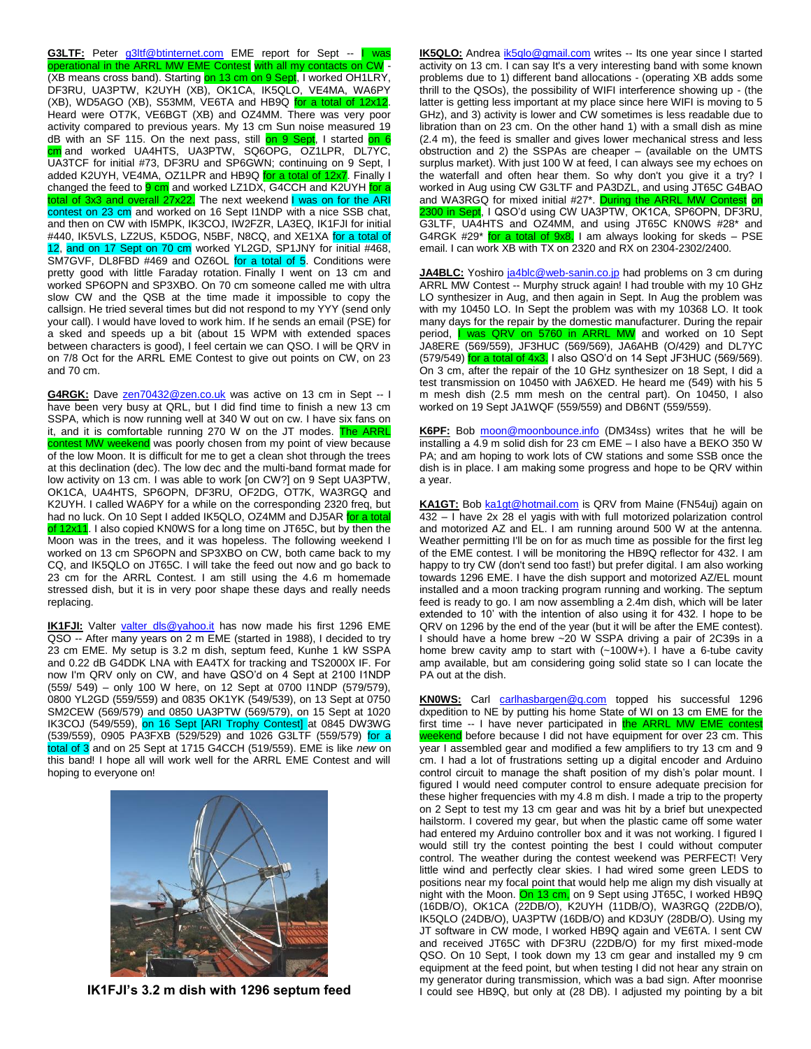G3LTF: Peter [g3ltf@btinternet.com](mailto:g3ltf@btinternet.com) EME report for Sept -- I was operational in the ARRL MW EME Contest with all my contacts on CW - (XB means cross band). Starting on 13 cm on 9 Sept, I worked OH1LRY, DF3RU, UA3PTW, K2UYH (XB), OK1CA, IK5QLO, VE4MA, WA6PY (XB), WD5AGO (XB), S53MM, VE6TA and HB9Q for a total of 12x12. Heard were OT7K, VE6BGT (XB) and OZ4MM. There was very poor activity compared to previous years. My 13 cm Sun noise measured 19 dB with an SF 115. On the next pass, still on 9 Sept, I started on 6 cm and worked UA4HTS, UA3PTW, SQ6OPG, OZ1LPR, DL7YC, UA3TCF for initial #73, DF3RU and SP6GWN; continuing on 9 Sept, I added K2UYH, VE4MA, OZ1LPR and HB9Q for a total of 12x7. Finally I changed the feed to **9 cm** and worked LZ1DX, G4CCH and K2UYH for a total of 3x3 and overall 27x22. The next weekend I was on for the ARI contest on 23 cm and worked on 16 Sept I1NDP with a nice SSB chat, and then on CW with I5MPK, IK3COJ, IW2FZR, LA3EQ, IK1FJI for initial #440, IK5VLS, LZ2US, K5DOG, N5BF, N8CQ, and XE1XA for a total of 12, and on 17 Sept on 70 cm worked YL2GD, SP1JNY for initial #468, SM7GVF, DL8FBD #469 and OZ6OL for a total of 5. Conditions were pretty good with little Faraday rotation. Finally I went on 13 cm and worked SP6OPN and SP3XBO. On 70 cm someone called me with ultra slow CW and the QSB at the time made it impossible to copy the callsign. He tried several times but did not respond to my YYY (send only your call). I would have loved to work him. If he sends an email (PSE) for a sked and speeds up a bit (about 15 WPM with extended spaces between characters is good), I feel certain we can QSO. I will be QRV in on 7/8 Oct for the ARRL EME Contest to give out points on CW, on 23 and 70 cm.

G4RGK: Dave [zen70432@zen.co.uk](mailto:zen70432@zen.co.uk) was active on 13 cm in Sept -- I have been very busy at QRL, but I did find time to finish a new 13 cm SSPA, which is now running well at 340 W out on cw. I have six fans on it, and it is comfortable running 270 W on the JT modes. The ARRL contest MW weekend was poorly chosen from my point of view because of the low Moon. It is difficult for me to get a clean shot through the trees at this declination (dec). The low dec and the multi-band format made for low activity on 13 cm. I was able to work [on CW?] on 9 Sept UA3PTW, OK1CA, UA4HTS, SP6OPN, DF3RU, OF2DG, OT7K, WA3RGQ and K2UYH. I called WA6PY for a while on the corresponding 2320 freq, but had no luck. On 10 Sept I added IK5QLO, OZ4MM and DJ5AR for a tota of 12x11. I also copied KN0WS for a long time on JT65C, but by then the Moon was in the trees, and it was hopeless. The following weekend I worked on 13 cm SP6OPN and SP3XBO on CW, both came back to my CQ, and IK5QLO on JT65C. I will take the feed out now and go back to 23 cm for the ARRL Contest. I am still using the 4.6 m homemade stressed dish, but it is in very poor shape these days and really needs replacing.

**IK1FJI:** Valter [valter\\_dls@yahoo.it](mailto:valter_dls@yahoo.it) has now made his first 1296 EME QSO -- After many years on 2 m EME (started in 1988), I decided to try 23 cm EME. My setup is 3.2 m dish, septum feed, Kunhe 1 kW SSPA and 0.22 dB G4DDK LNA with EA4TX for tracking and TS2000X IF. For now I'm QRV only on CW, and have QSO'd on 4 Sept at 2100 I1NDP (559/ 549) – only 100 W here, on 12 Sept at 0700 I1NDP (579/579), 0800 YL2GD (559/559) and 0835 OK1YK (549/539), on 13 Sept at 0750 SM2CEW (569/579) and 0850 UA3PTW (569/579), on 15 Sept at 1020 IK3COJ (549/559), on 16 Sept [ARI Trophy Contest] at 0845 DW3WG (539/559), 0905 PA3FXB (529/529) and 1026 G3LTF (559/579) for a total of 3 and on 25 Sept at 1715 G4CCH (519/559). EME is like *new* on this band! I hope all will work well for the ARRL EME Contest and will hoping to everyone on!



**IK1FJI's 3.2 m dish with 1296 septum feed** 

**IK5QLO:** Andrea [ik5qlo@gmail.com](mailto:ik5qlo@gmail.com) writes -- Its one year since I started activity on 13 cm. I can say It's a very interesting band with some known problems due to 1) different band allocations - (operating XB adds some thrill to the QSOs), the possibility of WIFI interference showing up - (the latter is getting less important at my place since here WIFI is moving to 5 GHz), and 3) activity is lower and CW sometimes is less readable due to libration than on 23 cm. On the other hand 1) with a small dish as mine (2.4 m), the feed is smaller and gives lower mechanical stress and less obstruction and 2) the SSPAs are cheaper – (available on the UMTS surplus market). With just 100 W at feed, I can always see my echoes on the waterfall and often hear them. So why don't you give it a try? I worked in Aug using CW G3LTF and PA3DZL, and using JT65C G4BAO and WA3RGQ for mixed initial #27<sup>\*</sup>. During the ARRL MW Contest on 2300 in Sept, I QSO'd using CW UA3PTW, OK1CA, SP6OPN, DF3RU, G3LTF, UA4HTS and OZ4MM, and using JT65C KN0WS #28\* and G4RGK #29\* for a total of 9x8. I am always looking for skeds – PSE email. I can work XB with TX on 2320 and RX on 2304-2302/2400.

**JA4BLC:** Yoshiro [ja4blc@web-sanin.co.jp](mailto:ja4blc@web-sanin.co.jp) had problems on 3 cm during ARRL MW Contest -- Murphy struck again! I had trouble with my 10 GHz LO synthesizer in Aug, and then again in Sept. In Aug the problem was with my 10450 LO. In Sept the problem was with my 10368 LO. It took many days for the repair by the domestic manufacturer. During the repair period, **I** was QRV on 5760 in ARRL MW and worked on 10 Sept JA8ERE (569/559), JF3HUC (569/569), JA6AHB (O/429) and DL7YC (579/549) for a total of 4x3. I also QSO'd on 14 Sept JF3HUC (569/569). On 3 cm, after the repair of the 10 GHz synthesizer on 18 Sept, I did a test transmission on 10450 with JA6XED. He heard me (549) with his 5 m mesh dish (2.5 mm mesh on the central part). On 10450, I also worked on 19 Sept JA1WQF (559/559) and DB6NT (559/559).

**K6PF:** Bob [moon@moonbounce.info](mailto:moon@moonbounce.info) (DM34ss) writes that he will be installing a 4.9 m solid dish for 23 cm EME – I also have a BEKO 350 W PA; and am hoping to work lots of CW stations and some SSB once the dish is in place. I am making some progress and hope to be QRV within a year.

KA1GT: Bob [ka1gt@hotmail.com](mailto:ka1gt@hotmail.com) is QRV from Maine (FN54uj) again on 432 – I have 2x 28 el yagis with with full motorized polarization control and motorized AZ and EL. I am running around 500 W at the antenna. Weather permitting I'll be on for as much time as possible for the first leg of the EME contest. I will be monitoring the HB9Q reflector for 432. I am happy to try CW (don't send too fast!) but prefer digital. I am also working towards 1296 EME. I have the dish support and motorized AZ/EL mount installed and a moon tracking program running and working. The septum feed is ready to go. I am now assembling a 2.4m dish, which will be later extended to 10' with the intention of also using it for 432. I hope to be QRV on 1296 by the end of the year (but it will be after the EME contest). I should have a home brew ~20 W SSPA driving a pair of 2C39s in a home brew cavity amp to start with (~100W+). I have a 6-tube cavity amp available, but am considering going solid state so I can locate the PA out at the dish.

**KN0WS:** Carl [carlhasbargen@q.com](mailto:carlhasbargen@q.com) topped his successful 1296 dxpedition to NE by putting his home State of WI on 13 cm EME for the first time -- I have never participated in the ARRL MW EME con weekend before because I did not have equipment for over 23 cm. This year I assembled gear and modified a few amplifiers to try 13 cm and 9 cm. I had a lot of frustrations setting up a digital encoder and Arduino control circuit to manage the shaft position of my dish's polar mount. I figured I would need computer control to ensure adequate precision for these higher frequencies with my 4.8 m dish. I made a trip to the property on 2 Sept to test my 13 cm gear and was hit by a brief but unexpected hailstorm. I covered my gear, but when the plastic came off some water had entered my Arduino controller box and it was not working. I figured I would still try the contest pointing the best I could without computer control. The weather during the contest weekend was PERFECT! Very little wind and perfectly clear skies. I had wired some green LEDS to positions near my focal point that would help me align my dish visually at night with the Moon. On 13 cm, on 9 Sept using JT65C, I worked HB9Q (16DB/O), OK1CA (22DB/O), K2UYH (11DB/O), WA3RGQ (22DB/O), IK5QLO (24DB/O), UA3PTW (16DB/O) and KD3UY (28DB/O). Using my JT software in CW mode, I worked HB9Q again and VE6TA. I sent CW and received JT65C with DF3RU (22DB/O) for my first mixed-mode QSO. On 10 Sept, I took down my 13 cm gear and installed my 9 cm equipment at the feed point, but when testing I did not hear any strain on my generator during transmission, which was a bad sign. After moonrise I could see HB9Q, but only at (28 DB). I adjusted my pointing by a bit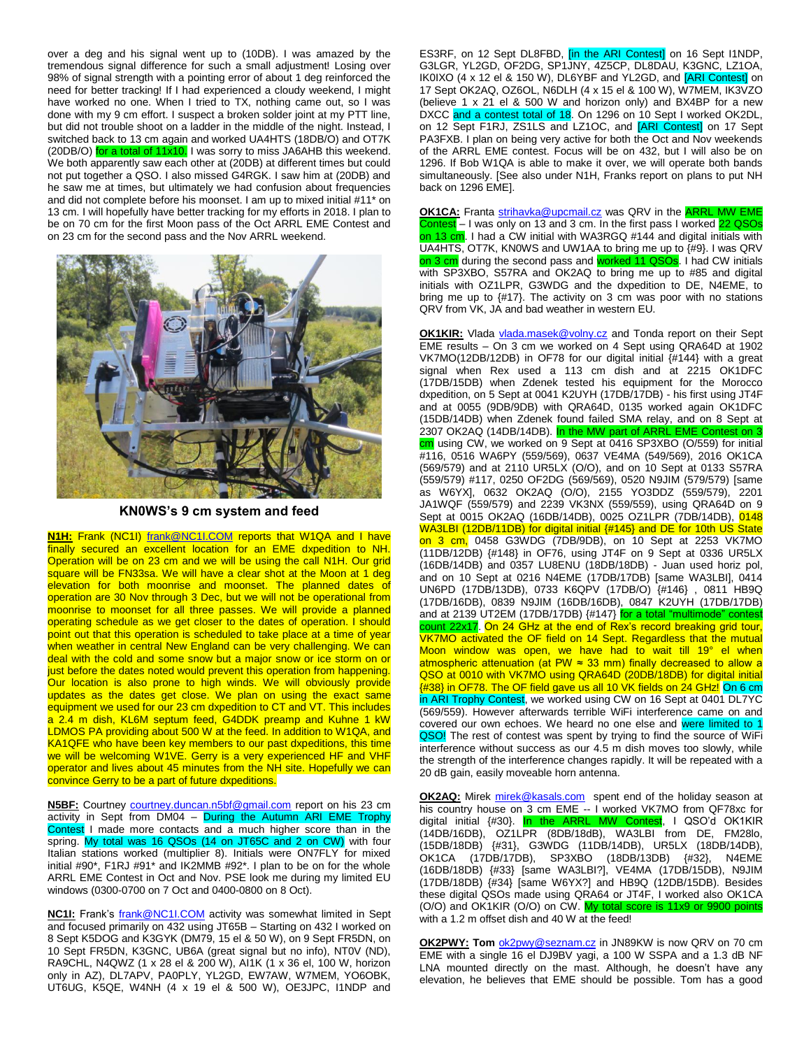over a deg and his signal went up to (10DB). I was amazed by the tremendous signal difference for such a small adjustment! Losing over 98% of signal strength with a pointing error of about 1 deg reinforced the need for better tracking! If I had experienced a cloudy weekend, I might have worked no one. When I tried to TX, nothing came out, so I was done with my 9 cm effort. I suspect a broken solder joint at my PTT line, but did not trouble shoot on a ladder in the middle of the night. Instead, I switched back to 13 cm again and worked UA4HTS (18DB/O) and OT7K (20DB/O) for a total of  $11x10$ . I was sorry to miss JA6AHB this weekend. We both apparently saw each other at (20DB) at different times but could not put together a QSO. I also missed G4RGK. I saw him at (20DB) and he saw me at times, but ultimately we had confusion about frequencies and did not complete before his moonset. I am up to mixed initial #11\* on 13 cm. I will hopefully have better tracking for my efforts in 2018. I plan to be on 70 cm for the first Moon pass of the Oct ARRL EME Contest and on 23 cm for the second pass and the Nov ARRL weekend.



**KN0WS's 9 cm system and feed**

**N1H:** Frank (NC1I) [frank@NC1I.COM](mailto:frank@NC1I.COM) reports that W1QA and I have finally secured an excellent location for an EME dxpedition to NH. Operation will be on 23 cm and we will be using the call N1H. Our grid square will be FN33sa. We will have a clear shot at the Moon at 1 deg elevation for both moonrise and moonset. The planned dates of operation are 30 Nov through 3 Dec, but we will not be operational from moonrise to moonset for all three passes. We will provide a planned operating schedule as we get closer to the dates of operation. I should point out that this operation is scheduled to take place at a time of year when weather in central New England can be very challenging. We can deal with the cold and some snow but a major snow or ice storm on or just before the dates noted would prevent this operation from happening. Our location is also prone to high winds. We will obviously provide updates as the dates get close. We plan on using the exact same equipment we used for our 23 cm dxpedition to CT and VT. This includes a 2.4 m dish, KL6M septum feed, G4DDK preamp and Kuhne 1 kW LDMOS PA providing about 500 W at the feed. In addition to W1QA, and KA1QFE who have been key members to our past dxpeditions, this time we will be welcoming W1VE. Gerry is a very experienced HF and VHF operator and lives about 45 minutes from the NH site. Hopefully we can convince Gerry to be a part of future dxpeditions.

**N5BF:** Courtney [courtney.duncan.n5bf@gmail.com](mailto:courtney.duncan.n5bf@gmail.com) report on his 23 cm activity in Sept from DM04 – During the Autumn ARI EME Trophy Contest I made more contacts and a much higher score than in the spring. My total was 16 QSOs (14 on JT65C and 2 on CW) with four Italian stations worked (multiplier 8). Initials were ON7FLY for mixed initial #90\*, F1RJ #91\* and IK2MMB #92\*. I plan to be on for the whole ARRL EME Contest in Oct and Nov. PSE look me during my limited EU windows (0300-0700 on 7 Oct and 0400-0800 on 8 Oct).

**NC1I:** Frank's **frank@NC1I.COM** activity was somewhat limited in Sept and focused primarily on 432 using JT65B – Starting on 432 I worked on 8 Sept K5DOG and K3GYK (DM79, 15 el & 50 W), on 9 Sept FR5DN, on 10 Sept FR5DN, K3GNC, UB6A (great signal but no info), NT0V (ND), RA9CHL, N4QWZ (1 x 28 el & 200 W), AI1K (1 x 36 el, 100 W, horizon only in AZ), DL7APV, PA0PLY, YL2GD, EW7AW, W7MEM, YO6OBK, UT6UG, K5QE, W4NH (4 x 19 el & 500 W), OE3JPC, I1NDP and

ES3RF, on 12 Sept DL8FBD, *[in the ARI Contest]* on 16 Sept I1NDP, G3LGR, YL2GD, OF2DG, SP1JNY, 4Z5CP, DL8DAU, K3GNC, LZ1OA, IK0IXO (4 x 12 el & 150 W), DL6YBF and YL2GD, and [ARI Contest] on 17 Sept OK2AQ, OZ6OL, N6DLH (4 x 15 el & 100 W), W7MEM, IK3VZO (believe 1 x 21 el & 500 W and horizon only) and BX4BP for a new DXCC and a contest total of 18. On 1296 on 10 Sept I worked OK2DL, on 12 Sept F1RJ, ZS1LS and LZ1OC, and [ARI Contest] on 17 Sept PA3FXB. I plan on being very active for both the Oct and Nov weekends of the ARRL EME contest. Focus will be on 432, but I will also be on 1296. If Bob W1QA is able to make it over, we will operate both bands simultaneously. [See also under N1H, Franks report on plans to put NH back on 1296 EME].

**OK1CA:** Franta [strihavka@upcmail.cz](mailto:strihavka@upcmail.cz) was QRV in the **ARRL MW EME** Contest – I was only on 13 and 3 cm. In the first pass I worked 22 QSOs on 13 cm. I had a CW initial with WA3RGQ #144 and digital initials with UA4HTS, OT7K, KN0WS and UW1AA to bring me up to {#9}. I was QRV on 3 cm during the second pass and worked 11 QSOs. I had CW initials with SP3XBO, S57RA and OK2AQ to bring me up to #85 and digital initials with OZ1LPR, G3WDG and the dxpedition to DE, N4EME, to bring me up to {#17}. The activity on 3 cm was poor with no stations QRV from VK, JA and bad weather in western EU.

**OK1KIR:** Vlada [vlada.masek@volny.cz](mailto:vlada.masek@volny.cz) and Tonda report on their Sept EME results – On 3 cm we worked on 4 Sept using QRA64D at 1902 VK7MO(12DB/12DB) in OF78 for our digital initial {#144} with a great signal when Rex used a 113 cm dish and at 2215 OK1DFC (17DB/15DB) when Zdenek tested his equipment for the Morocco dxpedition, on 5 Sept at 0041 K2UYH (17DB/17DB) - his first using JT4F and at 0055 (9DB/9DB) with QRA64D, 0135 worked again OK1DFC (15DB/14DB) when Zdenek found failed SMA relay, and on 8 Sept at 2307 OK2AQ (14DB/14DB). In the MW part of ARRL EME Contest on 3 cm using CW, we worked on 9 Sept at 0416 SP3XBO (O/559) for initial #116, 0516 WA6PY (559/569), 0637 VE4MA (549/569), 2016 OK1CA (569/579) and at 2110 UR5LX (O/O), and on 10 Sept at 0133 S57RA (559/579) #117, 0250 OF2DG (569/569), 0520 N9JIM (579/579) [same as W6YX], 0632 OK2AQ (O/O), 2155 YO3DDZ (559/579), 2201 JA1WQF (559/579) and 2239 VK3NX (559/559), using QRA64D on 9 Sept at 0015 OK2AQ (16DB/14DB), 0025 OZ1LPR (7DB/14DB), 0148 WA3LBI (12DB/11DB) for digital initial {#145} and DE for 10th US State on 3 cm, 0458 G3WDG (7DB/9DB), on 10 Sept at 2253 VK7MO (11DB/12DB) {#148} in OF76, using JT4F on 9 Sept at 0336 UR5LX (16DB/14DB) and 0357 LU8ENU (18DB/18DB) - Juan used horiz pol, and on 10 Sept at 0216 N4EME (17DB/17DB) [same WA3LBI], 0414 UN6PD (17DB/13DB), 0733 K6QPV (17DB/O) {#146} , 0811 HB9Q (17DB/16DB), 0839 N9JIM (16DB/16DB), 0847 K2UYH (17DB/17DB) and at 2139 UT2EM (17DB/17DB) {#147} for a total "multimode" contest count 22x17. On 24 GHz at the end of Rex's record breaking grid tour, VK7MO activated the OF field on 14 Sept. Regardless that the mutual Moon window was open, we have had to wait till 19° el when atmospheric attenuation (at PW ≈ 33 mm) finally decreased to allow a QSO at 0010 with VK7MO using QRA64D (20DB/18DB) for digital initial {#38} in OF78. The OF field gave us all 10 VK fields on 24 GHz! On 6 cm in ARI Trophy Contest, we worked using CW on 16 Sept at 0401 DL7YC (569/559). However afterwards terrible WiFi interference came on and covered our own echoes. We heard no one else and were limited to 1 QSO! The rest of contest was spent by trying to find the source of WiFi interference without success as our 4.5 m dish moves too slowly, while the strength of the interference changes rapidly. It will be repeated with a 20 dB gain, easily moveable horn antenna.

**OK2AQ:** Mirek [mirek@kasals.com](mailto:mirek@kasals.com) spent end of the holiday season at his country house on 3 cm EME -- I worked VK7MO from QF78xc for digital initial {#30}. In the ARRL MW Contest, I QSO'd OK1KIR (14DB/16DB), OZ1LPR (8DB/18dB), WA3LBI from DE, FM28lo, (15DB/18DB) {#31}, G3WDG (11DB/14DB), UR5LX (18DB/14DB), OK1CA (17DB/17DB), SP3XBO (18DB/13DB) {#32}, N4EME (16DB/18DB) {#33} [same WA3LBI?], VE4MA (17DB/15DB), N9JIM (17DB/18DB) {#34} [same W6YX?] and HB9Q (12DB/15DB). Besides these digital QSOs made using QRA64 or JT4F, I worked also OK1CA  $(O/O)$  and OK1KIR  $(O/O)$  on CW. My total score is 11x9 or 9900 point with a 1.2 m offset dish and 40 W at the feed!

**OK2PWY: Tom** [ok2pwy@seznam.cz](mailto:ok2pwy@seznam.cz) in JN89KW is now QRV on 70 cm EME with a single 16 el DJ9BV yagi, a 100 W SSPA and a 1.3 dB NF LNA mounted directly on the mast. Although, he doesn't have any elevation, he believes that EME should be possible. Tom has a good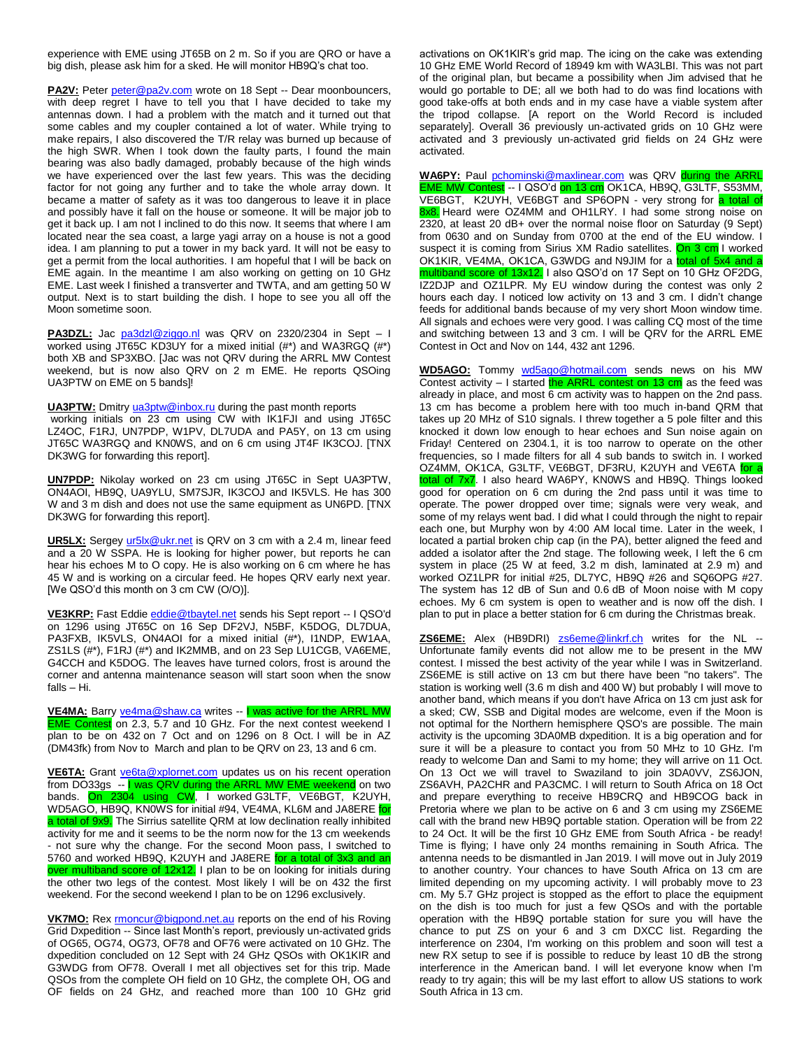experience with EME using JT65B on 2 m. So if you are QRO or have a big dish, please ask him for a sked. He will monitor HB9Q's chat too.

PA2V: Peter [peter@pa2v.com](mailto:peter@pa2v.com) wrote on 18 Sept -- Dear moonbouncers, with deep regret I have to tell you that I have decided to take my antennas down. I had a problem with the match and it turned out that some cables and my coupler contained a lot of water. While trying to make repairs, I also discovered the T/R relay was burned up because of the high SWR. When I took down the faulty parts, I found the main bearing was also badly damaged, probably because of the high winds we have experienced over the last few years. This was the deciding factor for not going any further and to take the whole array down. It became a matter of safety as it was too dangerous to leave it in place and possibly have it fall on the house or someone. It will be major job to get it back up. I am not I inclined to do this now. It seems that where I am located near the sea coast, a large yagi array on a house is not a good idea. I am planning to put a tower in my back yard. It will not be easy to get a permit from the local authorities. I am hopeful that I will be back on EME again. In the meantime I am also working on getting on 10 GHz EME. Last week I finished a transverter and TWTA, and am getting 50 W output. Next is to start building the dish. I hope to see you all off the Moon sometime soon.

PA3DZL: Jac [pa3dzl@ziggo.nl](mailto:pa3dzl@ziggo.nl) was QRV on 2320/2304 in Sept - I worked using JT65C KD3UY for a mixed initial (#\*) and WA3RGQ (#\*) both XB and SP3XBO. [Jac was not QRV during the ARRL MW Contest weekend, but is now also QRV on 2 m EME. He reports QSOing UA3PTW on EME on 5 bands]!

**UA3PTW:** Dmitry [ua3ptw@inbox.ru](mailto:ua3ptw@inbox.ru) during the past month reports working initials on 23 cm using CW with IK1FJI and using JT65C LZ4OC, F1RJ, UN7PDP, W1PV, DL7UDA and PA5Y, on 13 cm using JT65C WA3RGQ and KN0WS, and on 6 cm using JT4F IK3COJ. [TNX DK3WG for forwarding this report].

**UN7PDP:** Nikolay worked on 23 cm using JT65C in Sept UA3PTW, ON4AOI, HB9Q, UA9YLU, SM7SJR, IK3COJ and IK5VLS. He has 300 W and 3 m dish and does not use the same equipment as UN6PD. [TNX DK3WG for forwarding this report].

UR5LX: Sergey [ur5lx@ukr.net](mailto:ur5lx@ukr.net) is QRV on 3 cm with a 2.4 m, linear feed and a 20 W SSPA. He is looking for higher power, but reports he can hear his echoes M to O copy. He is also working on 6 cm where he has 45 W and is working on a circular feed. He hopes QRV early next year. [We QSO'd this month on 3 cm CW (O/O)].

VE3KRP: Fast Eddie [eddie@tbaytel.net](mailto:eddie@tbaytel.net) sends his Sept report -- I QSO'd on 1296 using JT65C on 16 Sep DF2VJ, N5BF, K5DOG, DL7DUA, PA3FXB, IK5VLS, ON4AOI for a mixed initial (#\*), I1NDP, EW1AA, ZS1LS (#\*), F1RJ (#\*) and IK2MMB, and on 23 Sep LU1CGB, VA6EME, G4CCH and K5DOG. The leaves have turned colors, frost is around the corner and antenna maintenance season will start soon when the snow falls – Hi.

**VE4MA:** Barr[y ve4ma@shaw.ca](mailto:ve4ma@shaw.ca) writes -- I was active for the ARRL MW EME Contest on 2.3, 5.7 and 10 GHz. For the next contest weekend I plan to be on 432 on 7 Oct and on 1296 on 8 Oct. I will be in AZ (DM43fk) from Nov to March and plan to be QRV on 23, 13 and 6 cm.

**VE6TA:** Grant [ve6ta@xplornet.com](mailto:ve6ta@xplornet.com) updates us on his recent operation from DO33gs -- I was QRV during the ARRL MW EME weekend on two bands. On 2304 using CW, I worked G3LTF, VE6BGT, K2UYH, WD5AGO, HB9Q, KN0WS for initial #94, VE4MA, KL6M and JA8ERE <mark>for</mark> a total of 9x9. The Sirrius satellite QRM at low declination really inhibited activity for me and it seems to be the norm now for the 13 cm weekends - not sure why the change. For the second Moon pass, I switched to 5760 and worked HB9Q, K2UYH and JA8ERE for a total of 3x3 and an over multiband score of 12x12. I plan to be on looking for initials during the other two legs of the contest. Most likely I will be on 432 the first weekend. For the second weekend I plan to be on 1296 exclusively.

**VK7MO:** Rex **rmoncur@bigpond.net.au** reports on the end of his Roving Grid Dxpedition -- Since last Month's report, previously un-activated grids of OG65, OG74, OG73, OF78 and OF76 were activated on 10 GHz. The dxpedition concluded on 12 Sept with 24 GHz QSOs with OK1KIR and G3WDG from OF78. Overall I met all objectives set for this trip. Made QSOs from the complete OH field on 10 GHz, the complete OH, OG and OF fields on 24 GHz, and reached more than 100 10 GHz grid

activations on OK1KIR's grid map. The icing on the cake was extending 10 GHz EME World Record of 18949 km with WA3LBI. This was not part of the original plan, but became a possibility when Jim advised that he would go portable to DE; all we both had to do was find locations with good take-offs at both ends and in my case have a viable system after the tripod collapse. [A report on the World Record is included separately]. Overall 36 previously un-activated grids on 10 GHz were activated and 3 previously un-activated grid fields on 24 GHz were activated.

**WA6PY:** Paul [pchominski@maxlinear.com](mailto:pchominski@maxlinear.com) was QRV during the ARRL EME MW Contest -- I QSO'd on 13 cm OK1CA, HB9Q, G3LTF, S53MM, VE6BGT, K2UYH, VE6BGT and SP6OPN - very strong for a total of 8x8. Heard were OZ4MM and OH1LRY. I had some strong noise on 2320, at least 20 dB+ over the normal noise floor on Saturday (9 Sept) from 0630 and on Sunday from 0700 at the end of the EU window. I suspect it is coming from Sirius XM Radio satellites. On 3 cm I worked OK1KIR, VE4MA, OK1CA, G3WDG and N9JIM for a total of 5x4 and a multiband score of 13x12. I also QSO'd on 17 Sept on 10 GHz OF2DG, IZ2DJP and OZ1LPR. My EU window during the contest was only 2 hours each day. I noticed low activity on 13 and 3 cm. I didn't change feeds for additional bands because of my very short Moon window time. All signals and echoes were very good. I was calling CQ most of the time and switching between 13 and 3 cm. I will be QRV for the ARRL EME Contest in Oct and Nov on 144, 432 ant 1296.

**WD5AGO:** Tommy [wd5ago@hotmail.com](mailto:wd5ago@hotmail.com) sends news on his MW Contest activity – I started the ARRL contest on 13 cm as the feed was already in place, and most 6 cm activity was to happen on the 2nd pass. 13 cm has become a problem here with too much in-band QRM that takes up 20 MHz of S10 signals. I threw together a 5 pole filter and this knocked it down low enough to hear echoes and Sun noise again on Friday! Centered on 2304.1, it is too narrow to operate on the other frequencies, so I made filters for all 4 sub bands to switch in. I worked OZ4MM, OK1CA, G3LTF, VE6BGT, DF3RU, K2UYH and VE6TA for a total of 7x7. I also heard WA6PY, KN0WS and HB9Q. Things looked good for operation on 6 cm during the 2nd pass until it was time to operate. The power dropped over time; signals were very weak, and some of my relays went bad. I did what I could through the night to repair each one, but Murphy won by 4:00 AM local time. Later in the week, I located a partial broken chip cap (in the PA), better aligned the feed and added a isolator after the 2nd stage. The following week, I left the 6 cm system in place (25 W at feed, 3.2 m dish, laminated at 2.9 m) and worked OZ1LPR for initial #25, DL7YC, HB9Q #26 and SQ6OPG #27. The system has 12 dB of Sun and 0.6 dB of Moon noise with M copy echoes. My 6 cm system is open to weather and is now off the dish. I plan to put in place a better station for 6 cm during the Christmas break.

**ZS6EME:** Alex (HB9DRI) **[zs6eme@linkrf.ch](mailto:zs6eme@linkrf.ch)** writes for the NL --Unfortunate family events did not allow me to be present in the MW contest. I missed the best activity of the year while I was in Switzerland. ZS6EME is still active on 13 cm but there have been "no takers". The station is working well (3.6 m dish and 400 W) but probably I will move to another band, which means if you don't have Africa on 13 cm just ask for a sked; CW, SSB and Digital modes are welcome, even if the Moon is not optimal for the Northern hemisphere QSO's are possible. The main activity is the upcoming 3DA0MB dxpedition. It is a big operation and for sure it will be a pleasure to contact you from 50 MHz to 10 GHz. I'm ready to welcome Dan and Sami to my home; they will arrive on 11 Oct. On 13 Oct we will travel to Swaziland to join 3DA0VV, ZS6JON, ZS6AVH, PA2CHR and PA3CMC. I will return to South Africa on 18 Oct and prepare everything to receive HB9CRQ and HB9COG back in Pretoria where we plan to be active on 6 and 3 cm using my ZS6EME call with the brand new HB9Q portable station. Operation will be from 22 to 24 Oct. It will be the first 10 GHz EME from South Africa - be ready! Time is flying; I have only 24 months remaining in South Africa. The antenna needs to be dismantled in Jan 2019. I will move out in July 2019 to another country. Your chances to have South Africa on 13 cm are limited depending on my upcoming activity. I will probably move to 23 cm. My 5.7 GHz project is stopped as the effort to place the equipment on the dish is too much for just a few QSOs and with the portable operation with the HB9Q portable station for sure you will have the chance to put ZS on your 6 and 3 cm DXCC list. Regarding the interference on 2304, I'm working on this problem and soon will test a new RX setup to see if is possible to reduce by least 10 dB the strong interference in the American band. I will let everyone know when I'm ready to try again; this will be my last effort to allow US stations to work South Africa in 13 cm.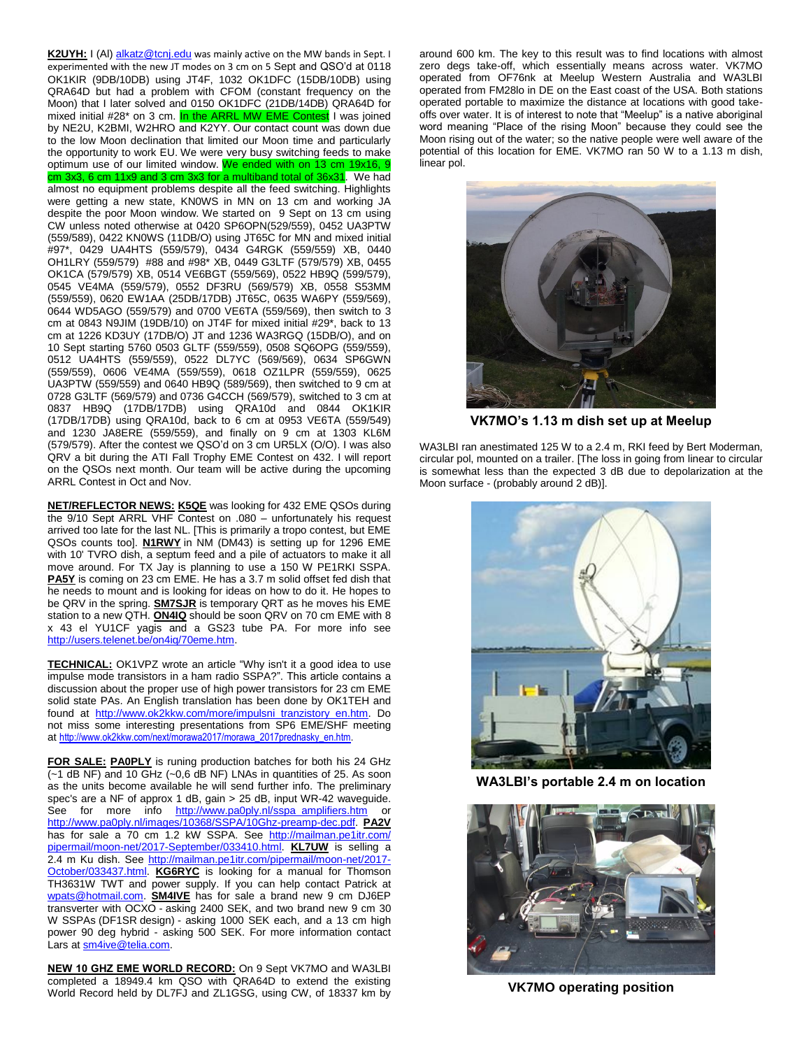K2UYH: I (Al[\) alkatz@tcnj.edu](mailto:alkatz@tcnj.edu) was mainly active on the MW bands in Sept. I experimented with the new JT modes on 3 cm on 5 Sept and QSO'd at 0118 OK1KIR (9DB/10DB) using JT4F, 1032 OK1DFC (15DB/10DB) using QRA64D but had a problem with CFOM (constant frequency on the Moon) that I later solved and 0150 OK1DFC (21DB/14DB) QRA64D for mixed initial #28\* on 3 cm. In the ARRL MW EME Contest I was joined by NE2U, K2BMI, W2HRO and K2YY. Our contact count was down due to the low Moon declination that limited our Moon time and particularly the opportunity to work EU. We were very busy switching feeds to make optimum use of our limited window. We ended with on 13 cm 19x16, 9 cm 3x3, 6 cm 11x9 and 3 cm 3x3 for a multiband total of 36x31. We had almost no equipment problems despite all the feed switching. Highlights were getting a new state, KN0WS in MN on 13 cm and working JA despite the poor Moon window. We started on 9 Sept on 13 cm using CW unless noted otherwise at 0420 SP6OPN(529/559), 0452 UA3PTW (559/589), 0422 KN0WS (11DB/O) using JT65C for MN and mixed initial #97\*, 0429 UA4HTS (559/579), 0434 G4RGK (559/559) XB, 0440 OH1LRY (559/579) #88 and #98\* XB, 0449 G3LTF (579/579) XB, 0455 OK1CA (579/579) XB, 0514 VE6BGT (559/569), 0522 HB9Q (599/579), 0545 VE4MA (559/579), 0552 DF3RU (569/579) XB, 0558 S53MM (559/559), 0620 EW1AA (25DB/17DB) JT65C, 0635 WA6PY (559/569), 0644 WD5AGO (559/579) and 0700 VE6TA (559/569), then switch to 3 cm at 0843 N9JIM (19DB/10) on JT4F for mixed initial #29\*, back to 13 cm at 1226 KD3UY (17DB/O) JT and 1236 WA3RGQ (15DB/O), and on 10 Sept starting 5760 0503 GLTF (559/559), 0508 SQ6OPG (559/559), 0512 UA4HTS (559/559), 0522 DL7YC (569/569), 0634 SP6GWN (559/559), 0606 VE4MA (559/559), 0618 OZ1LPR (559/559), 0625 UA3PTW (559/559) and 0640 HB9Q (589/569), then switched to 9 cm at 0728 G3LTF (569/579) and 0736 G4CCH (569/579), switched to 3 cm at 0837 HB9Q (17DB/17DB) using QRA10d and 0844 OK1KIR (17DB/17DB) using QRA10d, back to 6 cm at 0953 VE6TA (559/549) and 1230 JA8ERE (559/559), and finally on 9 cm at 1303 KL6M (579/579). After the contest we QSO'd on 3 cm UR5LX (O/O). I was also QRV a bit during the ATI Fall Trophy EME Contest on 432. I will report on the QSOs next month. Our team will be active during the upcoming ARRL Contest in Oct and Nov.

**NET/REFLECTOR NEWS: K5QE** was looking for 432 EME QSOs during the 9/10 Sept ARRL VHF Contest on .080 – unfortunately his request arrived too late for the last NL. [This is primarily a tropo contest, but EME QSOs counts too]. **N1RWY** in NM (DM43) is setting up for 1296 EME with 10' TVRO dish, a septum feed and a pile of actuators to make it all move around. For TX Jay is planning to use a 150 W PE1RKI SSPA. **PA5Y** is coming on 23 cm EME. He has a 3.7 m solid offset fed dish that he needs to mount and is looking for ideas on how to do it. He hopes to be QRV in the spring. **SM7SJR** is temporary QRT as he moves his EME station to a new QTH. **ON4IQ** should be soon QRV on 70 cm EME with 8 x 43 el YU1CF yagis and a GS23 tube PA. For more info see [http://users.telenet.be/on4iq/70eme.htm.](http://users.telenet.be/on4iq/70eme.htm)

**TECHNICAL:** OK1VPZ wrote an article "Why isn't it a good idea to use impulse mode transistors in a ham radio SSPA?". This article contains a discussion about the proper use of high power transistors for 23 cm EME solid state PAs. An English translation has been done by OK1TEH and found at [http://www.ok2kkw.com/more/impulsni\\_tranzistory\\_en.htm.](http://www.ok2kkw.com/more/impulsni_tranzistory_en.htm) Do not miss some interesting presentations from SP6 EME/SHF meeting at http://www.ok2kkw.com/next/morawa2017/morawa\_2017prednasky\_en.htm

**FOR SALE: PA0PLY** is runing production batches for both his 24 GHz (~1 dB NF) and 10 GHz (~0,6 dB NF) LNAs in quantities of 25. As soon as the units become available he will send further info. The preliminary spec's are a NF of approx 1 dB, gain > 25 dB, input WR-42 waveguide. See for more info [http://www.pa0ply.nl/sspa\\_amplifiers.htm](http://www.pa0ply.nl/sspa_amplifiers.htm) or [http://www.pa0ply.nl/images/10368/SSPA/10Ghz-preamp-dec.pdf.](http://www.pa0ply.nl/images/10368/SSPA/10Ghz-preamp-dec.pdf) **PA2V** has for sale a 70 cm 1.2 kW SSPA. See [http://mailman.pe1itr.com/](http://mailman.pe1itr.com/%20pipermail/moon-net/2017-September/033410.html) [pipermail/moon-net/2017-September/033410.html.](http://mailman.pe1itr.com/%20pipermail/moon-net/2017-September/033410.html) **KL7UW** is selling a 2.4 m Ku dish. See [http://mailman.pe1itr.com/pipermail/moon-net/2017-](http://mailman.pe1itr.com/pipermail/moon-net/2017-October/033437.html) [October/033437.html.](http://mailman.pe1itr.com/pipermail/moon-net/2017-October/033437.html) **KG6RYC** is looking for a manual for Thomson TH3631W TWT and power supply. If you can help contact Patrick at [wpats@hotmail.com.](mailto:wpats@hotmail.com) **SM4IVE** has for sale a brand new 9 cm DJ6EP transverter with OCXO - asking 2400 SEK, and two brand new 9 cm 30 W SSPAs (DF1SR design) - asking 1000 SEK each, and a 13 cm high power 90 deg hybrid - asking 500 SEK. For more information contact Lars a[t sm4ive@telia.com.](mailto:sm4ive@telia.com)

**NEW 10 GHZ EME WORLD RECORD:** On 9 Sept VK7MO and WA3LBI completed a 18949.4 km QSO with QRA64D to extend the existing World Record held by DL7FJ and ZL1GSG, using CW, of 18337 km by

around 600 km. The key to this result was to find locations with almost zero degs take-off, which essentially means across water. VK7MO operated from OF76nk at Meelup Western Australia and WA3LBI operated from FM28lo in DE on the East coast of the USA. Both stations operated portable to maximize the distance at locations with good takeoffs over water. It is of interest to note that "Meelup" is a native aboriginal word meaning "Place of the rising Moon" because they could see the Moon rising out of the water; so the native people were well aware of the potential of this location for EME. VK7MO ran 50 W to a 1.13 m dish, linear pol.



**VK7MO's 1.13 m dish set up at Meelup**

WA3LBI ran anestimated 125 W to a 2.4 m, RKI feed by Bert Moderman, circular pol, mounted on a trailer. [The loss in going from linear to circular is somewhat less than the expected 3 dB due to depolarization at the Moon surface - (probably around 2 dB)].



**WA3LBI's portable 2.4 m on location**



**VK7MO operating position**